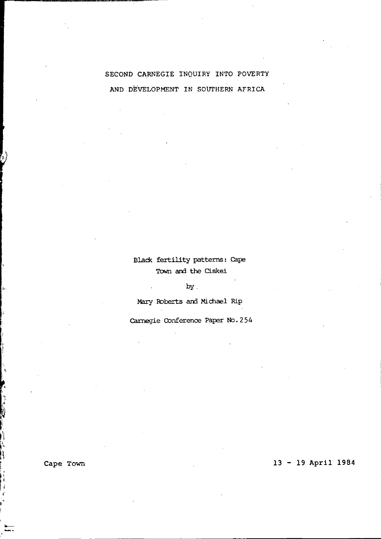# SECOND CARNEGIE INQUIRY INTO POVERTY AND DE'VELOPMENT IN SOUTHERN AFRICA

## Black fertility patterns: cape Town and the Ciskei

by.

Mary Roberts and Michael Rip

Carnegie Conference Paper No. 254

Cape Town

11

0

h.

> Í  $\vec{\mathbf{t}}$

## 13 - 19 April 1984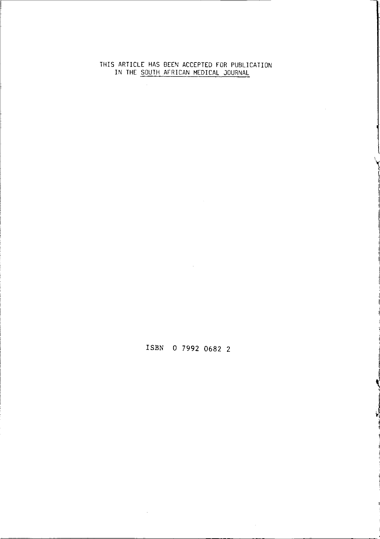#### THIS ARTICLE HAS BEEN ACCEPTED FOR PUBLICATION IN THE SOUTH AFRICAN MEDICAL JOURNAL

## ISBN 0 7992 0682 2

**A** 

 $\ddot{\phantom{1}}$ 

J ~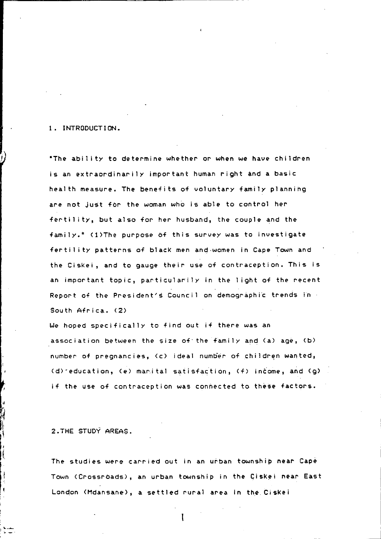### 1. INTRODUCTION.

.---------------------------------------------~----~- ~-~------~----

'The abil ity to determine whether or when we have children is an extraordinarily important human right and a basic health measure. The benefits of voluntary family planning are not just for the woman who is able to control her fertil ity, but also for her husband, the couple and the family." (l)The purpose of this survey was to investigate fertil ity patterns of blacK men and,women in Cape Town and the Ciskei, and to gauge their use of contraception. This is an important topic, particular'ily in the light of the recent Report of the President's Council on demographic trends in South Africa. (2)

We hoped specifically to find out if there was an association between the size of'the family and (a) age, (b) number of pregnancies, (c) ideal number of children wanted, (d)'education, (e) marital satisfaction, (f> income, and (g) if the use of contraception was connected to these factors.

2.THE STUDY AREAS.

ļ

 $\frac{1}{2}$ 

The studies were carried out in an urban township near Cape Town (Crossroads), an urban township in the Giskei near East London (Hdansane), a settled rural area in the CisKei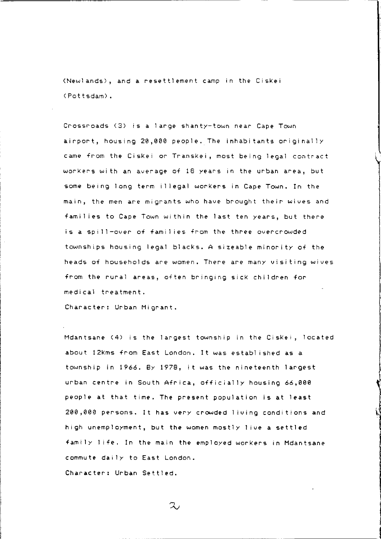(Newlands), and a resettlement camp in the Ciskei (Pottsdam).

Crossroads (3) is a large shanty-town near- Cape Town airport, housing 20,000 people. The inhabitants originally came from the Ciskei or Transkei, most being legal contract workers wi th an average of 18 years in the urban area, but some being long term illegal workers in Cape Town. In the main, the men are migrants who have brought their wives and families to Cape Town within the last ten years, but there is a spill-over of families from the three overcrowded townships housing legal blacks. A sizeable minority of the heads of households are women. There are many visiting wives from the rural areas, often bringing sick children formedical treatment.

Character: Urban Migrant.

Mdantsane (4) is the largest township in the Ciskei, located about 12kms from East London. It was established as a township in 1966. 8y 1978, it was the nineteenth largest urban centre in South Africa, officially housing 66,000 people at that time. The present population is at least 200,000 persons. It has very crowded living conditions and high unemployment, but the women mostly 1 ive a settled family life. In the main the employed workers in Mdantsane commute daily to East London. Character: Urban Settled.

 $\infty$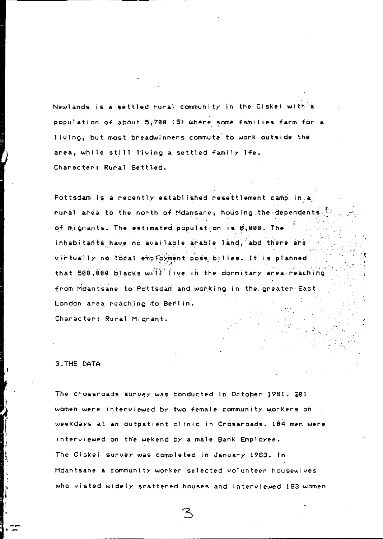Newlands is a settled rural community in the Ciskei with a population of about 5,700 (5) where some families farm for a living, but most breadwinners commute to work outside the area, while still living a settled family lfe. Character: Rural Settled.

Pottsdam is a recently established resettlement camp. in a: rural area to the north of Mdansane, housing the dependents. of mignants. The estimated population is 8,000. The inhabitants have no available arable land, abd there are virtually no local employment possibilies. It is planned ~, ".,..:~ that 500,000 blacks with live in the dormitary area,reaching from Mdantsane to Pottsdam and working in the greater East London area reaching to Berlin.

,~

Character: Rural Migrant.

3.THÉ DATA

 $\mathbf{I}$ 

*t* 

The crossroads survey was conducted in October 1981. 201 women were interviewed by two female community workers on weeKdays at an outpatient cl inic in Cr6ssroads. 104 men were interviewed on the weKend by a male Bank Employee. The CisKei SUrvey was completed in January 1983. In Mdantsane a community worker selected volunteer housewives who visted widely scattered houses and interviewed 183 women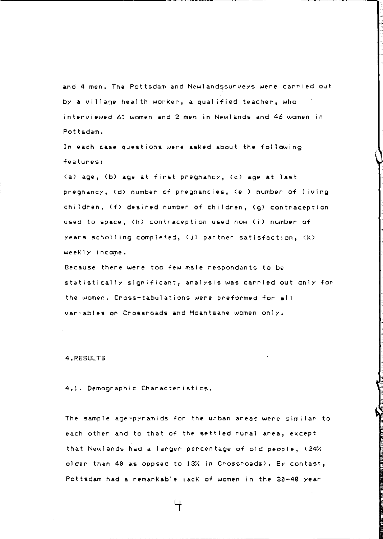and 4 men. The Pottsdam and Newlandssurveys were carried out by a village health worker, a qualified teacher, who interviewed 61 women and 2 men in Newlands and 46 women in Pottsdam.

In each case questions were asKed about the follOWing features:

(a) age, (b) age at first pregnancy, (c) age at last pregnancy, (d) number of pregnancies, (e ) number of 1 iving children, (f) desired number of children, (g) contraception used to space, (h) contraception used now (i) number of years scholling completed, (j) partner satisfaction, (K)  $weakly$  income.

Because there were too few male respondants to be statistically significant, analysis was carried out only for the women. Cross-tabulations were preformed for all variables on Crossroads and Mdantsane women only.

4.RESULTS

4.1. Demographic Characteristics.

The sample age-pyramids for the urban areas *were* similar to each other and to that of the settled rural area, except that Newlands had a larger percentage of old people, (24% older than 40 as oppsed to 13% in Crossroads). By contast, Pottsdam had a remarkable lack of women in the 30-40 year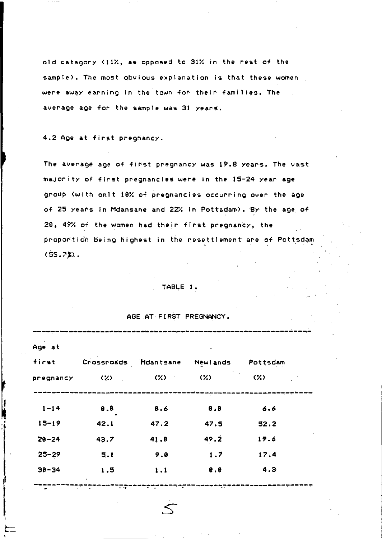old catagory (11X, as opposed to 31X in the rest of the sample). The most obvious explanation is that these women were away earning in the town for their famil ies. The average age for the sample was 31 years.

4.2 Age at first pregnancy.

The average age of first pregnancy was 19.5 years. The vast majority of first pregnancies were in the 15-24 year age group (with onlt 10% of pregnancies occurring over the age of 25 years in Mdansane and 22% in Pottsdam). By the age of 20, 49% of the women had their first pregnancy, the proportion being highest in the resettlement are of Pottsdam  $(55.7%)$ .

#### TABLE 1.

#### AGE AT FIRST PREGNANCY.

| first     |       | Crossroads Mdantsane | Newlands | Pottsdam |
|-----------|-------|----------------------|----------|----------|
| pregnancy | (%) = | - CZD - 1            | 325      | (X)      |
| $1 - 14$  | 8.8   | 8.6                  | 0.8      | 6.6      |
| $15 - 19$ | 42.1  | 47.2                 | 47.5     | 52.2     |
| $20 - 24$ | 43.7  | 41.8                 | 49.2     | 19.6     |
| $25 - 29$ | 5.1   | 9.8                  | 1.7      | 17.4     |
| $30 - 34$ | 1.5   | 1.1                  | 8.8      | 4.3      |
|           |       | ⊸<br>$\sim$ $\sim$   | 77       |          |
|           |       |                      |          |          |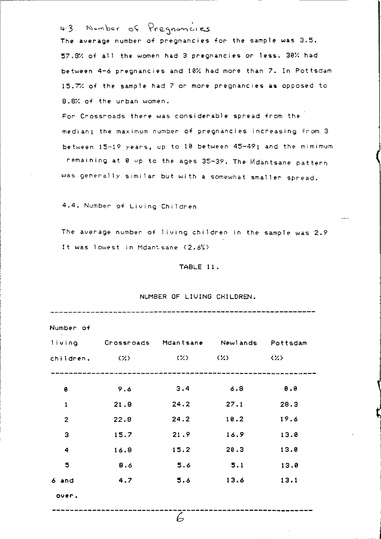43. Number of Pregnancies

The average number of pregnancies for the sample was 3.5. 57.8% of all the women had 3 pregnancies or less. 30% had between 4-6 pregnancies and 10X had more than 7. In Pottsdam 15.7" of the sample had 7 or more pregnancies as opposed to 8.8/. of the urban women.

For Crossroads there was considerable spread from the median; the maximum number of pregnancies increasing from 3 between 15-19 years, up to 10 between 45-49; and the mimimum remaining at 0 up to the ages 35-39. The Mdantsane pattern was generally similar but wi th a somewhat smaller spread.

4.4. Number of Living Children

The average number of living children in the sample was 2.9 It was lowest in Mdantsane (2.6%)

#### TABLE 11.

| Number of      |                                               |      |      |                   |
|----------------|-----------------------------------------------|------|------|-------------------|
|                | living Crossroads Mdantsane Newlands Pottsdam |      |      |                   |
|                | children, $(X)$ $(X)$ $(X)$ $(X)$             |      |      | $\langle \rangle$ |
|                |                                               |      |      |                   |
| 0              | 9.6                                           | 3.4  | 6.8  | 0.0               |
| $\mathbf{1}$   | 21.8                                          | 24.2 | 27.1 | 28.3              |
| $\overline{2}$ | 22.8                                          | 24.2 | 10.2 | 19.6              |
| з              | 15.7                                          | 21.9 | 16.9 | 13.0              |
| 4              | 16.8                                          | 15.2 | 20.3 | 13.0              |
| 5              | 8.6                                           | 5.6  | 5.1  | 13.0              |
| 6 and          | 4.7                                           | 5.6  | 13.6 | 13.1              |
| over.          |                                               |      |      |                   |

### NUMBER OF LIVING CHILDREN.

 $\overline{z}$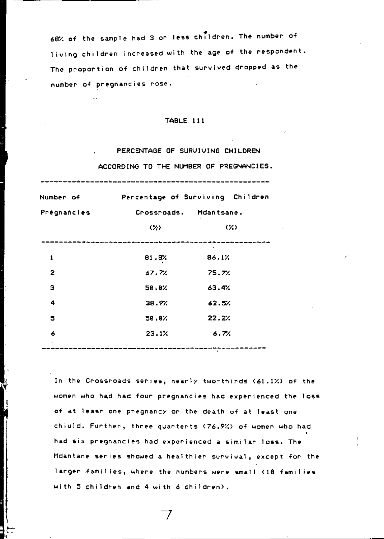68% of the sample had 3 or less children. The number of 1 iving children increased with the age of the respondent. The proportion of children that survived dropped as the number of pregnancies rose.

#### TABLE 111

# PERCENTAGE OF SURVIVING CHILDREN ACCORDING TO THE NUMBER OF PREGNANCIES.

| Number of    | Percentage of Surviving Children |                          |  |  |
|--------------|----------------------------------|--------------------------|--|--|
| Préghancies  | Crossroads. Mdantsane.           |                          |  |  |
|              | $\langle \gamma \rangle$         | $\langle \gamma \rangle$ |  |  |
| 1            | 81.8%                            | 86.1%                    |  |  |
| $\mathbf{z}$ | 67.7%                            | 75.7%                    |  |  |
| з            | 50.0%                            | 63.4%                    |  |  |
| 4            | 38.9%                            | 62.5%                    |  |  |
| 5            | 50.0%                            | 22.2%                    |  |  |
| 6            | 23.1%                            | 6.7%                     |  |  |

In the Crossroads series, nearly two~thirds (61.1X) of the women who had had four pregnancies had experienced the loss of at leasr *one* pregnancy or the death of at least one chiuld. Further, three quarterts (76.9%) of women who had had six pregnancies had experienced a similar loss. The Mdantane series showed a healthier survival, except for the larger families, where the numbers were small (19 families with 5 children and 4 with 6 children).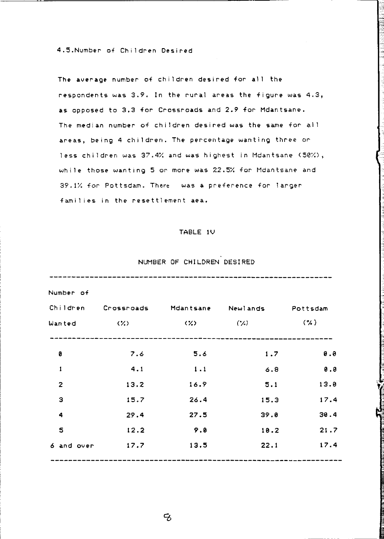4.5.Number of Children Desired

The average number of children desired for all the respondents was  $3.9$ . In the rural areas the figure was  $4.3$ . as opposed to 3.3 for Crossroads and 2.9 for Mdantsane. The median number of children desired was the same for all areas, being 4 children. The percentage wanting three or less children was 37.4% and was highest in Mdantsane (50%), while those wanting 5 or more was 22.5% for Mdantsane and 39.1/: for Pottsdam. There was a preference for larger families in the resettlement *aea.* 

### TABLE IV

## NUMBER OF CHILDREN DESIRED

| Number of    |            |                |           |          |
|--------------|------------|----------------|-----------|----------|
| Children     | Crossroads | Mdantsane      | Newlands  | Pottsdam |
| Wanted       | くろう        | $(\mathbf{Z})$ | $(\cdot)$ | $($ %)   |
| e            | 7.6        | 5.6            | 1.7       | 9.8      |
| ı            | 4.1        | 1.1            | 6.8       | 0.8      |
| $\mathbf{z}$ | 13.2       | 16.9           | 5.1       | 13.8     |
| Э            | 15.7       | 26.4           | 15.3      | 17.4     |
| 4            | 29.4       | 27.5           | 39.8      | 30.4     |
| 5            | 12.2       | 9.8            | 10.2      | 21.7     |
| 6 and over   | 17.7       | 13.5           | 22.1      | 17.4     |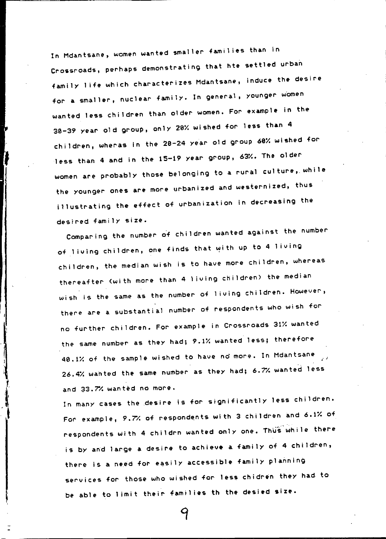In Mdantsane, women wanted smaller families than in Crossroads, perhaps demonstrating that hte settled urban family life which characterizes Mdantsane, induce the desire for a smaller, nuclear family. In general, younger women wanted less children than older women. For example In the 30-39 year old group, only 20X wished for less than 4 children, wheras in the 20-24 year old group 60X wished for less than 4 and in the 15-19 year group, 63X. The older women are probably those belonging to a rural culture, while the younger ones are more urbanized and westernized, thus illustrating the effect of urbanization in decreasing the desired family size.

Comparing the number of children wanted against the number of living children, one finds that with up to 4 living children, the median wish is to have more children, whereas thereafter (with more than 4 living children) the median wish is the same as the number of I iving children. However, there are a substantial number of respondents who wish for no further children. For example in Crossroads 31X wanted the same number as *they* had; 9.1X wanted less; therefore 40.1X of the sample wished to have no more. In Mdantsane 26.4X wahted the sam~ number as *they* had; 6.7/. wanted less and 33.7% wanted no more.

: I

In many cases the desire is for significantly less children. For example, 9.7/. of respondents with 3 children and 6.1X of respondents with 4 childrn wanted only one. Thus while there is by and large a desire to achieve a family of 4 children, there is a need for easily accessible family planning services for those who wished for less chidren they had to be able to limit their families th the desied size.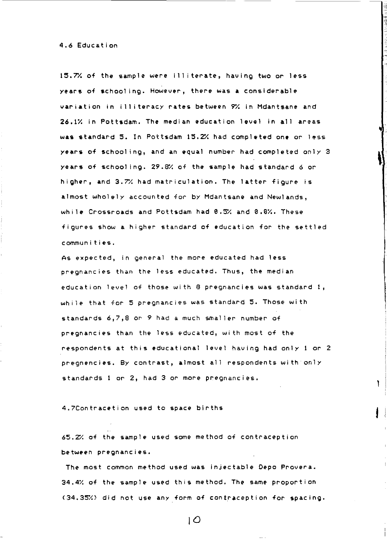4.6 Education

 $15.7%$  of the sample were illiterate, having two or less years of schooling. However, there was a considerable variation in illiteracy rates between *9'1.* in Mdantsane and 26.1% in Pottsdam. The median education level in all areas was standard 5. In Pottsdam 15.2% had completed one or less years of school ing, and an equal number had completed only 3 years of schooling. 29.8% of the sample had standard 6 or higher, and *3.7'1.* had matriculation. The latter figure is almost wholely accounted for by Mdantsane and Newlands, while Crossroads and Pottsdam had 0.5% and 0.6%. These figures show a higher standard of education for the settled communities.

As expected, in general the more educated had less pregnancies than the less educated. Thus, the median education level of those with 8 pregnancies was standard 1, while that for 5 pregnancies was standard S. Those with standards 6,7,8 or 9 had a much smaller number of pregnancies than the less educated, with most of the respondents at this educational level having had only 1 or 2 pregnencies. By contrast, almost all respondents with only standards 1 or 2, had 3 or more pregnancies.

١

4.7Contracetion used to space births

65.2% of the sample used some method of contraception between pregnancies.

The most common method used was injectable Depo Provera. 34.4% of the sample used this method. The same proportion (34.35%) did not use any form of contraception for spacing.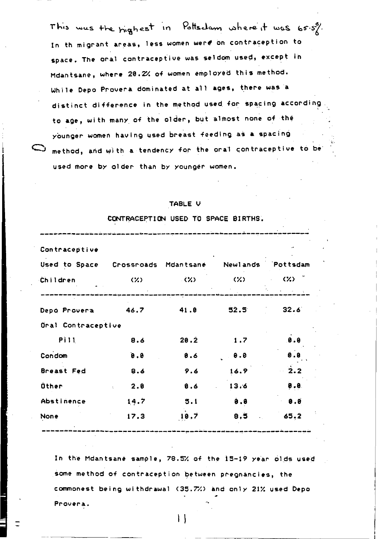This was the highest in Pottsdam where it was 65.5%. In th migrant areas, less women were on contraception to space. The oral contraceptive was seldom used, except in Mdantsane, where 20.2% of women employed this method. While Depo Provera dominated at all ages, there was a distinct difference in the method used for spacing according to age, with many of the older, but almost none of the younger women having used breast feeding as a spacing  $\supset$  method, and with a tendency for the oral contraceptive to be used more by older than by younger women.

#### TABLE V

CONTRACEPTION USED TO SPACE BIRTHS.

| Contraceptive      |                   |                   |      |                     |  |
|--------------------|-------------------|-------------------|------|---------------------|--|
| Used to Space      | Crossroads        | Mdantsane         |      | Newlands Pottsdam   |  |
| Children           | (2)               | $\langle \rangle$ | (2)  | $\langle 2 \rangle$ |  |
| Depo Provera       | 46.7              | 41.0              | 52.5 | 32.6                |  |
| Oral Contraceptive |                   |                   |      |                     |  |
| <b>Pill</b>        | 8.6               | 20.2              | 1.7  | 0.0                 |  |
| Condom             | 0.0               | 8.6               | 0.0  | 8.8                 |  |
| Breast Fed         | 8.6               | 9.6               | 16.9 | $-2.2$              |  |
| Other              | 2.8<br>$\epsilon$ | 8.6               | 13.6 | 9.8                 |  |
| Abstinence         | 14.7              | 5.1               | 9.8  | 0.0                 |  |
| None               | 17.3              | 10.7              | 8.5  | 65.2                |  |
|                    |                   |                   |      |                     |  |

In the Mdantsane sample, 78.5% of the 15-19 year olds used some method of contraception between pregnancies, the commonest being withdrawal (3S.7/.) and only 21X used Oepo Provera.

1\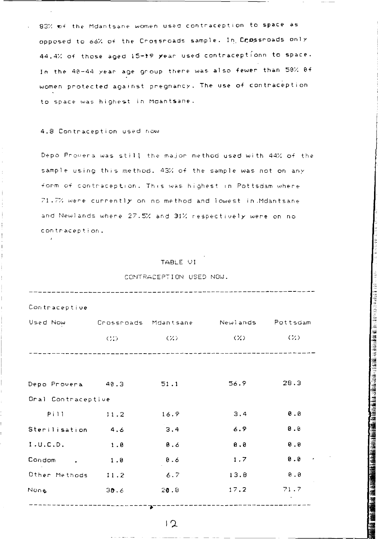83% of the Mdantsane women used contraception to space as opposed to 66% of the Crossroads sample. In Crossroads only 44.4% of those aged 15-19 year used contraceptionn to space. In the 40-44 year age group there was also fewer than 50% 0f women protected against pregnancy. The use of contraception  $to$  space was highest in Moantsane.

#### 4.8 Contraception used now

Depo Provera was still the major method used with 44% of the sample using this method. 43% of the sample was not on any form of contraception. This was highest in Pottsdam where 71.7% were currently on no method and lowest in .Mdantsane and Newlands where 27.5% and 31% respectively were on no **con tracep t i on.** 

## TABLE VI

### CONTRACEPTION USED NOW.

| Contraceptive                                   |             |         |      |                      |  |  |
|-------------------------------------------------|-------------|---------|------|----------------------|--|--|
| Used Now Crossroads Mdantsane Newlands Pottsdam |             |         |      |                      |  |  |
|                                                 | C(3)        | ーー(スンーー | (%)  | $\langle 22 \rangle$ |  |  |
|                                                 |             |         |      |                      |  |  |
|                                                 |             |         |      |                      |  |  |
| Depo Provera 40.3                               |             | 51.1    | 56.9 | 28.3                 |  |  |
| Oral Contraceptive                              |             |         |      |                      |  |  |
| Pill.                                           | 11.2        | 16.9    | 3.4  | 0.8                  |  |  |
| Sterilisation 4.6                               |             | 3.4     | 6.9  | 0.0                  |  |  |
| I.U.C.D.                                        | 1.8         | 8.6     | 0.0  | 0.8                  |  |  |
| Condom .                                        | 1.8         | 8.6     | 1.7  | 0.8                  |  |  |
| Other Methods 11.2                              |             | $-6.7$  | 13.8 | 0.0                  |  |  |
| None                                            | 30.6        | 20.8    | 17.2 | 71.7                 |  |  |
|                                                 | $---------$ |         |      |                      |  |  |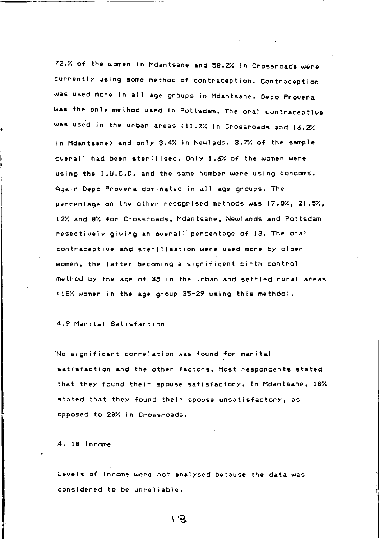72.X of the women in Mdantsane and 58.2% in Crossroads were currently using some method of contraception. Contraception was used more in all age groups in Mdantsane. Depo Provera was the only method used in Pottsdam. The oral contraceptive was used in the urban areas (11.2% in Crossroads and 16.2% in Mdantsane) and only 3.4% in Newlads. 3.7% of the sample overall had *been* steril ised. Only 1.6X of the women were using the I.U.C.D. and the same number *were* using condoms. Again Depo Provera dominated in all age groups. The percentage on the other recognised methods was  $17.8\%, 21.5\%,$ 12% and 9X for Crossroads, Mdantsane, Newlands and Pottsdam resectively giving an overall percentage of 13. The oral contraceptive and steril isation were used more by older women, the latter becoming a significent birth control method by the age of 35 in the urban and settled rural areas (18% women in the age group 35-29 using this method).

4.9 Marital Satisfaction

·No significant correlation was found for marital satisfaction and the other factors. Most respondents stated that they found their spouse satisfactory. In Mdantsane, 10% stated that they found their spouse unsatisfactory, as opposed to 20X in Crossroads.

4. 10 Income

,.

Levels of income *were* not analysed because the data was considered to be unrel iable.

 $\sqrt{3}$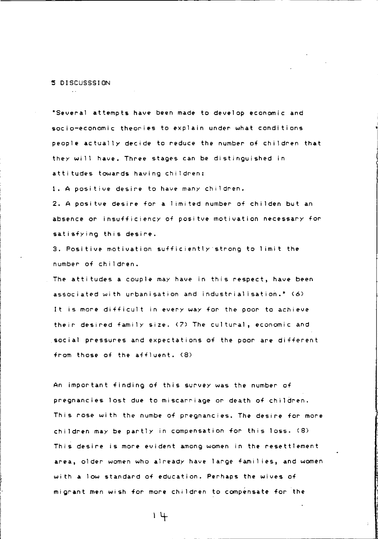#### S DISCUSSSION

'Several attempts have been made to develop economic and socio-economic theories to explain under what conditions people actually decide to reduce the number of children that they will have. Three stages can be distinguished in atti tudes towards having chi ldren:

I. A posi tive desire to have many children.

2. A positve desire for a limited number of childen but an absence or insufficiency of positve motivation necessary for satisfying this desire.

3. Positive motivation sufficiently'strong to limit the number of chi ldren.

The atti tudes a couple may have in this respect, have been associated with urbanisation and industrialisation." (6) It is more difficult in every way for the poor to achieve their desired family size. (7) The cultural, economic and social pressures and expectations of the poor are different from those of the affluent. (8)

An important finding of this survey was the number of pregnancies lost due to miscarriage or death of children. This rose wi th the numbe of pregnancies. The desire for more children may be partly in compensation for this loss. (8) This desire is more evident among women in the resettlement area, 01 der women who al ready have 1 arge fami lies, and women with a low standard of education. Perhaps the wives of migrant men wish for more children to compensate for the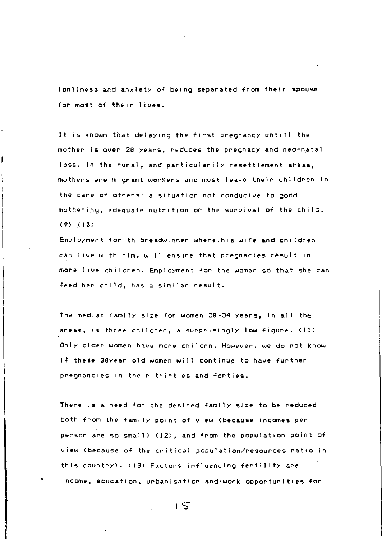lonliness and anxiety of being separated from their spouse for most of their lives.

It is known that delaying the first pregnancy untill the mother is over 20 years, reduces the pregnacy and neo-natal loss. In the rural, and particularily resettlement areas, mothers are migrant worKers and must leave their children in the care of others- a situation not conducive to good mothering, adequate nutrition or the survival of the chiJd. (9) (10)

Employment for th breadwinner where.his wife and children can 1 ive with him, will ensure that pregnacies result in more 1 ive children. Employment for the woman so that she can *feed* her child, has a similar result.

The median fami ly size for women 39-34 years, in all the areas, is three children, a surprisingly low figure. (11) Only older women have more childrn. However, we do not Know if these 30year old women will continue to have further pregnancies in their thirties and forties.

There is a *need* for the desired family size to be reduced both from the family point of view (because incomes per person are so small) (12), and from the population point of view (because of the critical population/resources ratio in this country). (13) Factors influencing fertility are income, education, urbanisation and'worK opportunities for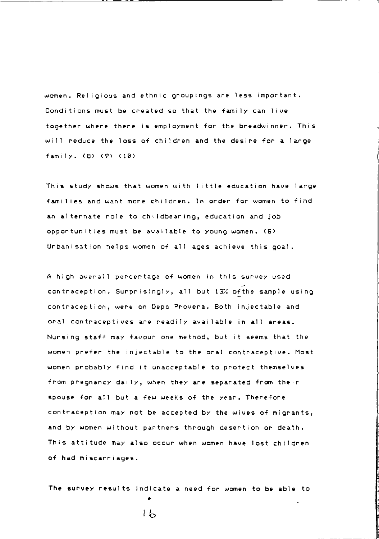women. Religious and ethnic groupings are less important. Conditions must be created so that the family can live together where there is employment for the breadwinner. This will reduce the loss of children and the desire for a large family. (8) (9) (10)

This study shows that women with 1 ittle education have large famil ies and want more children. In order for women to find an al ternate role to childbearing, education and job opportunities must be available to young women. (8) Urbanisation helps women of all ages achieve this goal.

A high overall percentage of women in this survey used contraception. Surprisingly, all but 13% of the sample using contraception, were on Depo Provera. Both injectable and oral contraceptives are readily available in all areas. Nursing staff may favour one method, but it seems that the women prefer the injectable to the oral contraceptive. Most women probably find it unacceptable to protect themselves from pregnancy daily, when they are separated from their spouse for all but a few weeKs of the year. Therefore contraception may not be accepted by the wives of migrants, and by women without partners through desertion or death. This attitude may also occur when women have lost children of had miscarriages.

The survey results indicate a need for women to **be** able to

•  $1<sub>b</sub>$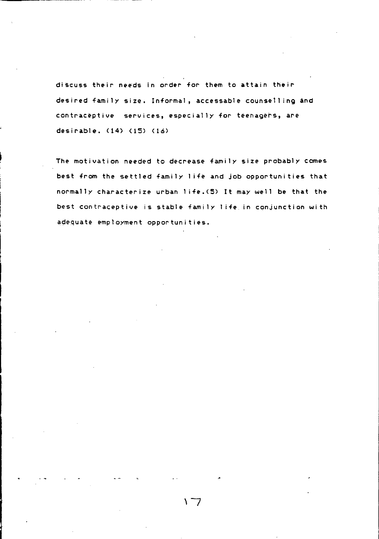discuss their needs in order for them to attain their desired family size. Informal, accessable counselling and contraceptive services, especially for teenagers, are desirable. (14) (IS) (16)

The motivation needed to decrease family size probably comes best from the settled family I ife and job opportunities that normally characterize urban I ife.(S) It may well be that the best contraceptive is stable family I ife in conjunction with adequate employment opportunities.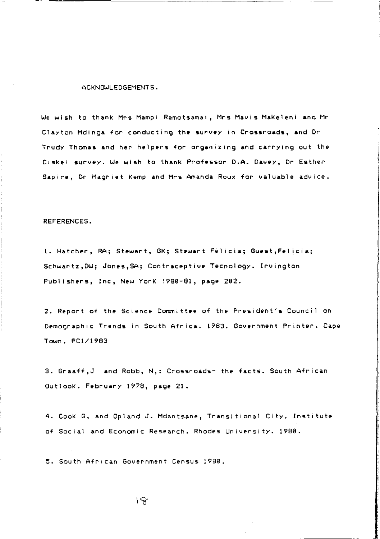#### ACKNOWLEDGEMENTS.

We wish to thank Mrs Mampi R&motsamai, Mrs Mavis Makeleni and Mr Clayton Mdinga for conducting the survey in Crossroads, and Dr Trudy Thomas and her helpers for organizing and carrying out the Ciskei survey. We wish to thank Professor D.A. Davey, Dr Esther Sapire, Dr Magriet Kemp and Mrs Amanda Roux for valuable advice.

#### REFERENCES.

1. Hatcher, RAj Stewart, GK; Stewart Fel iciaj Guest,Fel icia; Schwartz,DW; Jones,SA; Contraceptive Tecnology. Irvington Publishers, Inc, New York !980-81 , page 202.

2. Report of the Science Committee of the President's Council on Demographic Trends in South Africa. 1983. Government Printer. Cape Town. PC1/1983

3. Graaff, J and Robb, N,: Crossroads- the facts. South African OutlooK. February 1978, page 21.

4. CooK G, and Opland J. Mdantsane, Transitional City. Institute of Social and Economic Research. Rhodes University. 1980.

5. South African Government Census 1980.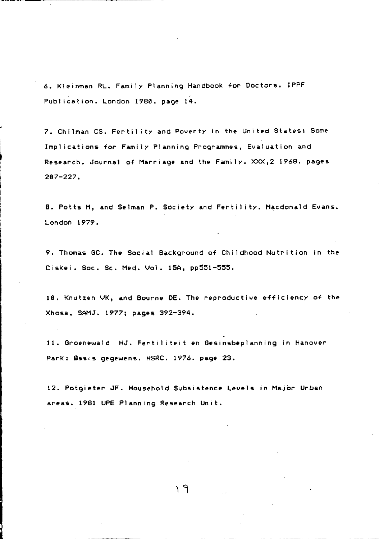6. Kleinman RL. Family Planning Handbook for Doctors. IPPF Publ ication. London 1980. page 14.

7. Chilman CS. Fertility and Poverty in the United States: Some Impl ications for Family Planning Programmes, Evaluation and Research. Journal of Marriage and the Family. XXX,2 1968. pages 207-227.

8. Potts M, and Selman P. Society and Fertil ity. Macdonald Evans. London 1979.

9. Thomas GC. The Social Background of Childhood Nutrition in the Ciskei. Soc. Sc. Med. Vol. 15A, pp551-555.

10. Knutzen VK, and Bourne DE. The reproductive efficiency of the Xhosa, SAMJ. 1977; pages 392-394.

11. Groenewald HJ. Fertiliteit en Gesinsbeplanning in Hanover Park: Basis gegewens. HSRC. 1976. page 23.

12. Potgieter JF. Household Subsistence Levels in Major Urban areas. 1981 UPE Planning Research Unit.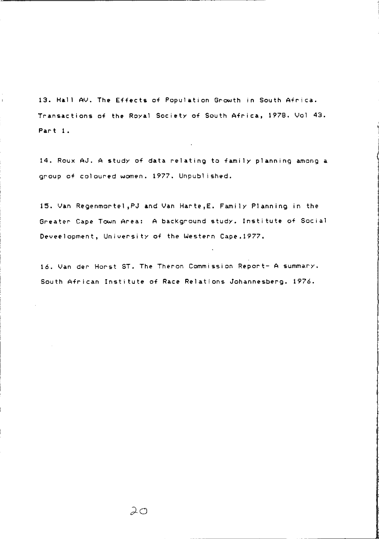13. Hall AV. The Effects of Population Growth in South Africa. Transactions of the Royal Society of South Africa, 1978. Vol 43. Part I.

 $\mathbf{r}$ 

14. Roux AJ. A study of data relating to family planning among a group of coloured women. 1977. Unpubl ished.

15. Van Regenmo~tel ,PJ and Van Harte,E. Family Planning in the Greater Cape Town Area: A bacKground study. Institute of Social Deveelopment, University of the Western Cape.1977.

16. Van der Horst ST. The Theron Commission Report- A summary. South African Institute of Race Relations Johannesberg. 1976.